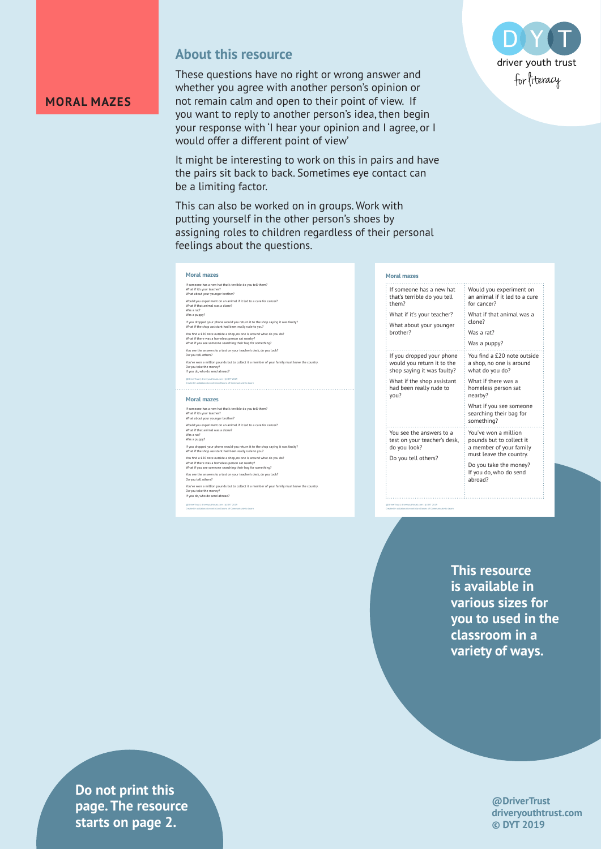

### **About this resource**

These questions have no right or wrong answer and whether you agree with another person's opinion or not remain calm and open to their point of view. If you want to reply to another person's idea, then begin your response with 'I hear your opinion and I agree, or I would offer a different point of view'

It might be interesting to work on this in pairs and have the pairs sit back to back. Sometimes eye contact can be a limiting factor.

This can also be worked on in groups. Work with putting yourself in the other person's shoes by assigning roles to children regardless of their personal feelings about the questions.



If someone has a new hat that's terrible do you tell them? What if it's your teacher? What about your younger brother? Would you experiment on an animal if it led to a cure for cancer?<br>What if that animal was a clone?<br>Was a rat?<br>Was a puppy? If you dropped your phone would you return it to the shop saying it was faulty? What if the shop assistant had been really rude to you? You find a £20 note outside a shop, no one is around what do you do?<br>What if there was a homeless person sat nearby?<br>What if you see someone searching their bag for something? You see the answers to a test on your teacher's desk, do you look? Do you tell others? You've won a million pounds but to collect it a member of your family must leave the country. Do you take the money? If you do, who do send abroad? **Moral mazes** If someone has a new hat that's terrible do you tell them? What if it's your teacher? What about your younger brother? Would you experiment on an animal if it led to a cure for cancer? What if that animal was a clone? Was a rat? Was a puppy? If you dropped your phone would you return it to the shop saying it was faulty? What if the shop assistant had been really rude to you? You find a £20 note outside a shop, no one is around what do you do?<br>What if there was a homeless person sat nearby?<br>What if you see someone searching their bag for something? @DriverTrust | driveryouthtrust.com | © DYT 2019 Created in collaboration with Jan Downs of Communicate to Learn

You see the answers to a test on your teacher's desk, do you look? Do you tell others? You've won a million pounds but to collect it a member of your family must leave the country. Do you take the money? If you do, who do send abroad?

@DriverTrust | driveryouthtrust.com | © DYT 2019 Created in collaboration with Jan Downs of Communicate to Learn

| If someone has a new hat<br>that's terrible do you tell<br>them?                                                                                       | W<br>an<br>fo                                                |
|--------------------------------------------------------------------------------------------------------------------------------------------------------|--------------------------------------------------------------|
| What if it's your teacher?<br>What about your younger<br>brother?                                                                                      | W<br>cl<br>W.<br>W.                                          |
| If you dropped your phone<br>would you return it to the<br>shop saying it was faulty?<br>What if the shop assistant<br>had been really rude to<br>you? | Yo<br>a:<br>wl<br>W<br>hc<br>ne<br>W<br>se<br>S <sub>O</sub> |
| You see the answers to a<br>test on your teacher's desk,<br>do you look?                                                                               | Yo<br>рc<br>a i                                              |

@DriverTrust | driveryouthtrust.com | © DYT 2019 Created in collaboration with Jan Downs of Communicate to Learn

Do you tell others?

#### **Moral mazes**

Would you experiment on animal if it led to a cure  $or$  cancer? What if that animal was a lone?

> Was a rat? Was a puppy?

ou find a £20 note outside shop, no one is around what do you do?

What if there was a omeless person sat earby?

What if you see someone .........<sub>..</sub>............<br>earching their bag for omething?

'ou've won a million pounds but to collect it member of your family must leave the country.

Do you take the money? If you do, who do send abroad?

**This resource is available in various sizes for you to used in the classroom in a variety of ways.**

> **@DriverTrust driveryouthtrust.com © DYT 2019**

**Priver is a griver page. The resource**  $\blacksquare$ **Exercise in collaboration with Aasters on page 2. Do not print this** 

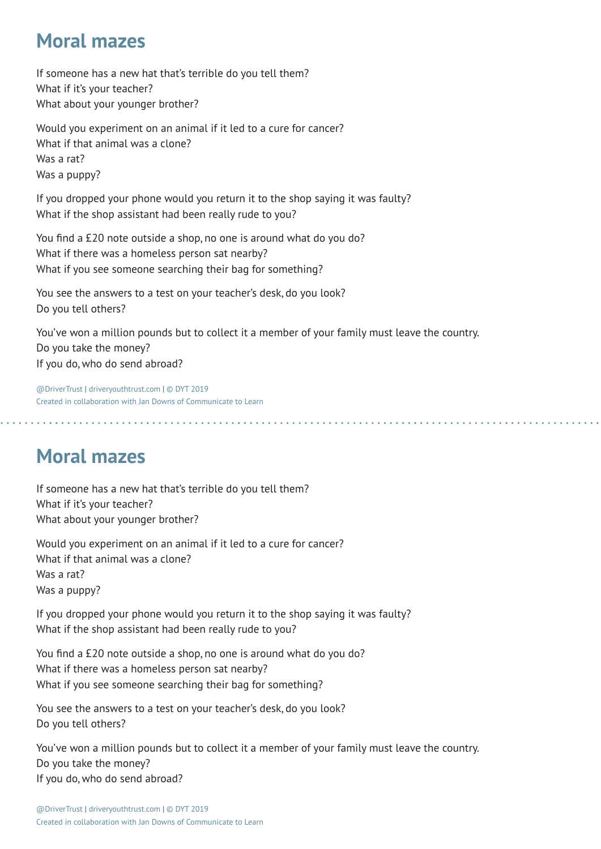## **Moral mazes**

If someone has a new hat that's terrible do you tell them? What if it's your teacher? What about your younger brother?

Would you experiment on an animal if it led to a cure for cancer? What if that animal was a clone? Was a rat? Was a puppy?

If you dropped your phone would you return it to the shop saying it was faulty? What if the shop assistant had been really rude to you?

You find a £20 note outside a shop, no one is around what do you do? What if there was a homeless person sat nearby? What if you see someone searching their bag for something?

You see the answers to a test on your teacher's desk, do you look? Do you tell others?

You've won a million pounds but to collect it a member of your family must leave the country. Do you take the money? If you do, who do send abroad?

@DriverTrust | driveryouthtrust.com | © DYT 2019 Created in collaboration with Jan Downs of Communicate to Learn

# **Moral mazes**

If someone has a new hat that's terrible do you tell them? What if it's your teacher? What about your younger brother?

Would you experiment on an animal if it led to a cure for cancer? What if that animal was a clone? Was a rat? Was a puppy?

If you dropped your phone would you return it to the shop saying it was faulty? What if the shop assistant had been really rude to you?

You find a £20 note outside a shop, no one is around what do you do? What if there was a homeless person sat nearby? What if you see someone searching their bag for something?

You see the answers to a test on your teacher's desk, do you look? Do you tell others?

You've won a million pounds but to collect it a member of your family must leave the country. Do you take the money? If you do, who do send abroad?